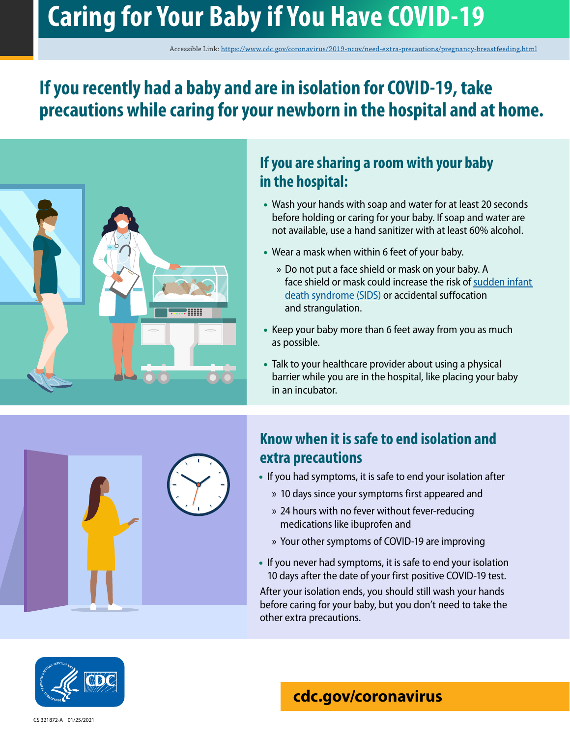# **Caring for Your Baby if You Have COVID-19**

Accessible Link: <https://www.cdc.gov/coronavirus/2019-ncov/need-extra-precautions/pregnancy-breastfeeding.html>

# **If you recently had a baby and are in isolation for COVID-19, take precautions while caring for your newborn in the hospital and at home.**



### **If you are sharing a room with your baby in the hospital:**

- Wash your hands with soap and water for at least 20 seconds before holding or caring for your baby. If soap and water are not available, use a hand sanitizer with at least 60% alcohol.
- Wear a mask when within 6 feet of your baby.
	- » Do not put a face shield or mask on your baby. A face shield or mask could increase the risk of [sudden infant](https://www.cdc.gov/sids/Parents-Caregivers.htm)  [death syndrome \(SIDS\)](https://www.cdc.gov/sids/Parents-Caregivers.htm) or accidental suffocation and strangulation.
- Keep your baby more than 6 feet away from you as much as possible.
- Talk to your healthcare provider about using a physical barrier while you are in the hospital, like placing your baby in an incubator.



# **Know when it is safe to end isolation and extra precautions**

- If you had symptoms, it is safe to end your isolation after
	- » 10 days since your symptoms first appeared and
	- » 24 hours with no fever without fever-reducing medications like ibuprofen and
	- » Your other symptoms of COVID-19 are improving
- If you never had symptoms, it is safe to end your isolation 10 days after the date of your first positive COVID-19 test.

After your isolation ends, you should still wash your hands before caring for your baby, but you don't need to take the other extra precautions.



# **[cdc.gov/coronavirus](http://www.cdc.gov/coronavirus)**